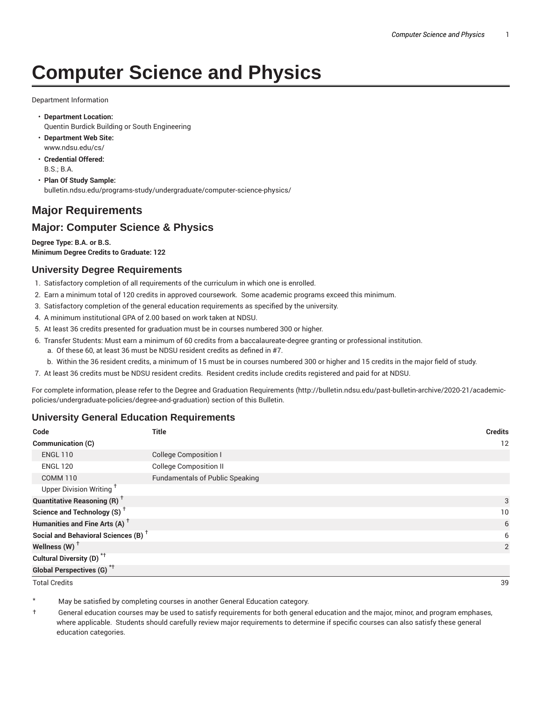# **Computer Science and Physics**

Department Information

- **Department Location:** Quentin Burdick Building or South Engineering
- **Department Web Site:** www.ndsu.edu/cs/
- **Credential Offered:** B.S.; B.A.
- **Plan Of Study Sample:** bulletin.ndsu.edu/programs-study/undergraduate/computer-science-physics/

# **Major Requirements**

## **Major: Computer Science & Physics**

**Degree Type: B.A. or B.S. Minimum Degree Credits to Graduate: 122**

## **University Degree Requirements**

- 1. Satisfactory completion of all requirements of the curriculum in which one is enrolled.
- 2. Earn a minimum total of 120 credits in approved coursework. Some academic programs exceed this minimum.
- 3. Satisfactory completion of the general education requirements as specified by the university.
- 4. A minimum institutional GPA of 2.00 based on work taken at NDSU.
- 5. At least 36 credits presented for graduation must be in courses numbered 300 or higher.
- 6. Transfer Students: Must earn a minimum of 60 credits from a baccalaureate-degree granting or professional institution.
	- a. Of these 60, at least 36 must be NDSU resident credits as defined in #7.
	- b. Within the 36 resident credits, a minimum of 15 must be in courses numbered 300 or higher and 15 credits in the major field of study.
- 7. At least 36 credits must be NDSU resident credits. Resident credits include credits registered and paid for at NDSU.

For complete information, please refer to the Degree and Graduation Requirements (http://bulletin.ndsu.edu/past-bulletin-archive/2020-21/academicpolicies/undergraduate-policies/degree-and-graduation) section of this Bulletin.

## **University General Education Requirements**

| Code                                            | <b>Title</b>                           | <b>Credits</b> |
|-------------------------------------------------|----------------------------------------|----------------|
| Communication (C)                               |                                        | 12             |
| <b>ENGL 110</b>                                 | <b>College Composition I</b>           |                |
| <b>ENGL 120</b>                                 | <b>College Composition II</b>          |                |
| <b>COMM 110</b>                                 | <b>Fundamentals of Public Speaking</b> |                |
| Upper Division Writing <sup>+</sup>             |                                        |                |
| <b>Quantitative Reasoning (R)</b> <sup>†</sup>  |                                        | 3              |
| Science and Technology (S) <sup>+</sup>         |                                        | 10             |
| Humanities and Fine Arts (A) <sup>+</sup>       |                                        | 6              |
| Social and Behavioral Sciences (B) <sup>+</sup> |                                        | 6              |
| Wellness $(W)$ <sup>+</sup>                     |                                        | 2              |
| Cultural Diversity (D) <sup>*†</sup>            |                                        |                |
| Global Perspectives (G) <sup>*†</sup>           |                                        |                |

Total Credits 39

May be satisfied by completing courses in another General Education category.

† General education courses may be used to satisfy requirements for both general education and the major, minor, and program emphases, where applicable. Students should carefully review major requirements to determine if specific courses can also satisfy these general education categories.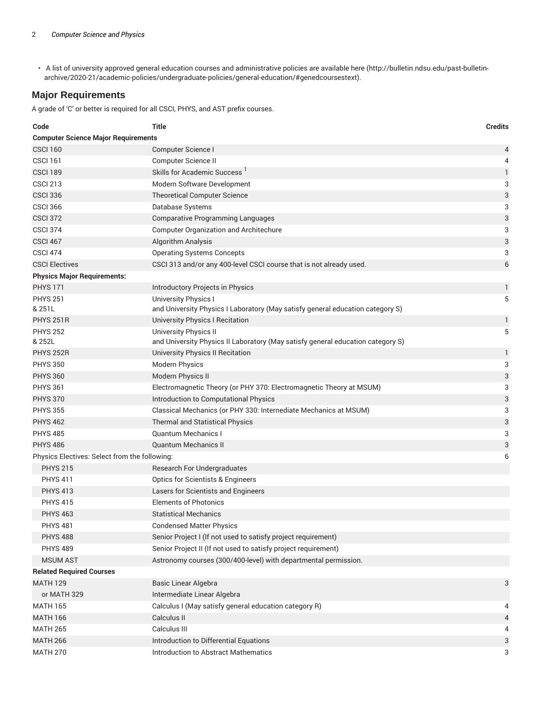• A list of university approved general education courses and administrative policies are available here (http://bulletin.ndsu.edu/past-bulletinarchive/2020-21/academic-policies/undergraduate-policies/general-education/#genedcoursestext).

#### **Major Requirements**

A grade of 'C' or better is required for all CSCI, PHYS, and AST prefix courses.

| Code                                               | <b>Title</b>                                                                    | <b>Credits</b> |  |  |
|----------------------------------------------------|---------------------------------------------------------------------------------|----------------|--|--|
| <b>Computer Science Major Requirements</b>         |                                                                                 |                |  |  |
| <b>CSCI 160</b>                                    | Computer Science I                                                              | 4              |  |  |
| <b>CSCI 161</b>                                    | Computer Science II                                                             | 4              |  |  |
| <b>CSCI 189</b>                                    | Skills for Academic Success <sup>1</sup>                                        | 1              |  |  |
| <b>CSCI 213</b>                                    | Modern Software Development                                                     | 3              |  |  |
| <b>CSCI 336</b>                                    | <b>Theoretical Computer Science</b>                                             | 3              |  |  |
| <b>CSCI 366</b>                                    | Database Systems                                                                | 3              |  |  |
| <b>CSCI 372</b>                                    | <b>Comparative Programming Languages</b>                                        | 3              |  |  |
| <b>CSCI 374</b>                                    | <b>Computer Organization and Architechure</b>                                   | 3              |  |  |
| CSCI <sub>467</sub>                                | Algorithm Analysis                                                              | 3              |  |  |
| <b>CSCI 474</b>                                    | <b>Operating Systems Concepts</b>                                               | 3              |  |  |
| <b>CSCI Electives</b>                              | CSCI 313 and/or any 400-level CSCI course that is not already used.             | 6              |  |  |
| <b>Physics Major Requirements:</b>                 |                                                                                 |                |  |  |
| <b>PHYS 171</b>                                    | Introductory Projects in Physics                                                | 1              |  |  |
| <b>PHYS 251</b>                                    | University Physics I                                                            | 5              |  |  |
| & 251L                                             | and University Physics I Laboratory (May satisfy general education category S)  |                |  |  |
| <b>PHYS 251R</b>                                   | University Physics I Recitation                                                 | 1              |  |  |
| <b>PHYS 252</b>                                    | University Physics II                                                           | 5              |  |  |
| & 252L                                             | and University Physics II Laboratory (May satisfy general education category S) |                |  |  |
| <b>PHYS 252R</b>                                   | University Physics II Recitation                                                | 1              |  |  |
| <b>PHYS 350</b>                                    | <b>Modern Physics</b>                                                           | 3              |  |  |
| <b>PHYS 360</b>                                    | <b>Modern Physics II</b>                                                        | 3              |  |  |
| <b>PHYS 361</b>                                    | Electromagnetic Theory (or PHY 370: Electromagnetic Theory at MSUM)             | 3              |  |  |
| <b>PHYS 370</b>                                    | Introduction to Computational Physics                                           | 3              |  |  |
| <b>PHYS 355</b>                                    | Classical Mechanics (or PHY 330: Internediate Mechanics at MSUM)                | 3              |  |  |
| <b>PHYS 462</b>                                    | <b>Thermal and Statistical Physics</b>                                          | 3              |  |  |
| <b>PHYS 485</b>                                    | <b>Quantum Mechanics I</b>                                                      | 3              |  |  |
| <b>PHYS 486</b>                                    | <b>Quantum Mechanics II</b>                                                     | 3              |  |  |
| Physics Electives: Select from the following:<br>6 |                                                                                 |                |  |  |
| <b>PHYS 215</b>                                    | Research For Undergraduates                                                     |                |  |  |
| <b>PHYS 411</b>                                    | Optics for Scientists & Engineers                                               |                |  |  |
| <b>PHYS 413</b>                                    | Lasers for Scientists and Engineers                                             |                |  |  |
| <b>PHYS 415</b>                                    | <b>Elements of Photonics</b>                                                    |                |  |  |
| <b>PHYS 463</b>                                    | Statistical Mechanics                                                           |                |  |  |
| <b>PHYS 481</b>                                    | <b>Condensed Matter Physics</b>                                                 |                |  |  |
| <b>PHYS 488</b>                                    | Senior Project I (If not used to satisfy project requirement)                   |                |  |  |
| <b>PHYS 489</b>                                    | Senior Project II (If not used to satisfy project requirement)                  |                |  |  |
| <b>MSUM AST</b>                                    | Astronomy courses (300/400-level) with departmental permission.                 |                |  |  |
| <b>Related Required Courses</b>                    |                                                                                 |                |  |  |
| <b>MATH 129</b>                                    | <b>Basic Linear Algebra</b>                                                     | 3              |  |  |
| or MATH 329                                        | Intermediate Linear Algebra                                                     |                |  |  |
| <b>MATH 165</b>                                    | Calculus I (May satisfy general education category R)                           | 4              |  |  |
| <b>MATH 166</b>                                    | Calculus II                                                                     | 4              |  |  |
| <b>MATH 265</b>                                    | Calculus III                                                                    | 4              |  |  |
| <b>MATH 266</b>                                    | Introduction to Differential Equations                                          | 3              |  |  |
| <b>MATH 270</b>                                    | <b>Introduction to Abstract Mathematics</b>                                     | 3              |  |  |